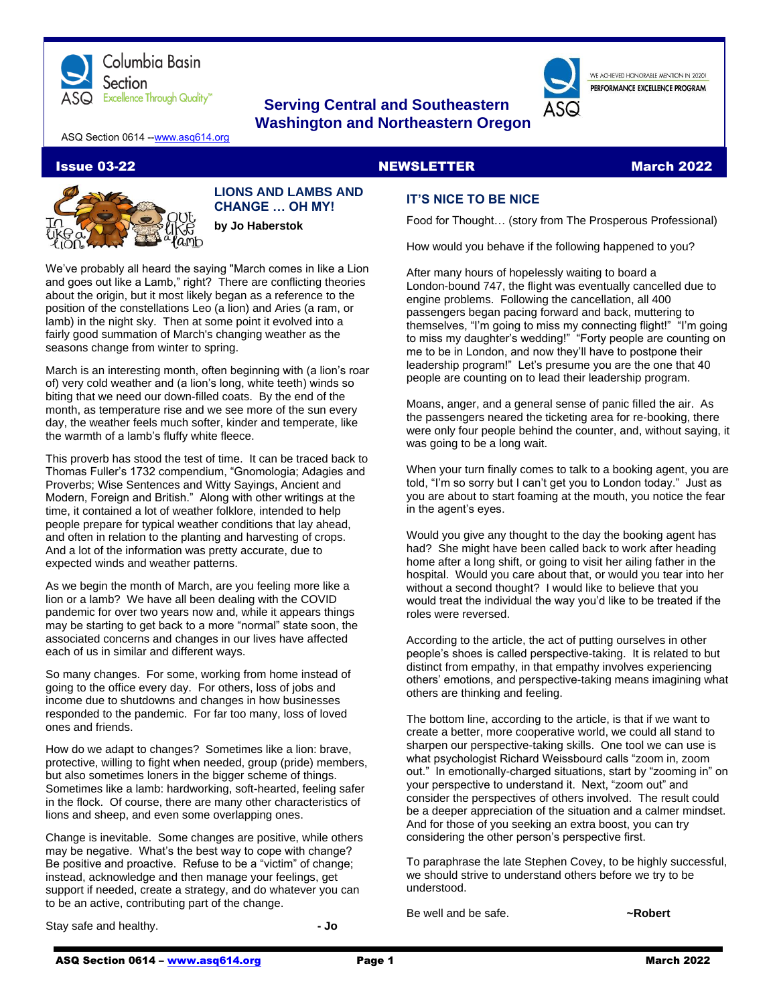

# **Serving Central and Southeastern Washington and Northeastern Oregon**

WE ACHIEVED HONORABLE MENTION IN 2020L PERFORMANCE EXCELLENCE PROGRAM

ASQ Section 0614 -[-www.asq614.org](http://www.asq614.org/)

#### Issue 03-22 NewsLETTER NEWSLETTER March 2022



**LIONS AND LAMBS AND CHANGE … OH MY! by Jo Haberstok**

We've probably all heard the saying "March comes in like a Lion and goes out like a Lamb," right? There are conflicting theories about the origin, but it most likely began as a reference to the position of the constellations Leo (a lion) and Aries (a ram, or lamb) in the night sky. Then at some point it evolved into a fairly good summation of March's changing weather as the seasons change from winter to spring.

March is an interesting month, often beginning with (a lion's roar of) very cold weather and (a lion's long, white teeth) winds so biting that we need our down-filled coats. By the end of the month, as temperature rise and we see more of the sun every day, the weather feels much softer, kinder and temperate, like the warmth of a lamb's fluffy white fleece.

This proverb has stood the test of time. It can be traced back to Thomas Fuller's 1732 compendium, "Gnomologia; Adagies and Proverbs; Wise Sentences and Witty Sayings, Ancient and Modern, Foreign and British." Along with other writings at the time, it contained a lot of weather folklore, intended to help people prepare for typical weather conditions that lay ahead, and often in relation to the planting and harvesting of crops. And a lot of the information was pretty accurate, due to expected winds and weather patterns.

As we begin the month of March, are you feeling more like a lion or a lamb? We have all been dealing with the COVID pandemic for over two years now and, while it appears things may be starting to get back to a more "normal" state soon, the associated concerns and changes in our lives have affected each of us in similar and different ways.

So many changes. For some, working from home instead of going to the office every day. For others, loss of jobs and income due to shutdowns and changes in how businesses responded to the pandemic. For far too many, loss of loved ones and friends.

How do we adapt to changes? Sometimes like a lion: brave, protective, willing to fight when needed, group (pride) members, but also sometimes loners in the bigger scheme of things. Sometimes like a lamb: hardworking, soft-hearted, feeling safer in the flock. Of course, there are many other characteristics of lions and sheep, and even some overlapping ones.

Change is inevitable. Some changes are positive, while others may be negative. What's the best way to cope with change? Be positive and proactive. Refuse to be a "victim" of change; instead, acknowledge and then manage your feelings, get support if needed, create a strategy, and do whatever you can to be an active, contributing part of the change.

Stay safe and healthy. **- Jo**

**IT'S NICE TO BE NICE**

Food for Thought… (story from The Prosperous Professional)

How would you behave if the following happened to you?

After many hours of hopelessly waiting to board a London-bound 747, the flight was eventually cancelled due to engine problems. Following the cancellation, all 400 passengers began pacing forward and back, muttering to themselves, "I'm going to miss my connecting flight!" "I'm going to miss my daughter's wedding!" "Forty people are counting on me to be in London, and now they'll have to postpone their leadership program!" Let's presume you are the one that 40 people are counting on to lead their leadership program.

Moans, anger, and a general sense of panic filled the air. As the passengers neared the ticketing area for re-booking, there were only four people behind the counter, and, without saying, it was going to be a long wait.

When your turn finally comes to talk to a booking agent, you are told, "I'm so sorry but I can't get you to London today." Just as you are about to start foaming at the mouth, you notice the fear in the agent's eyes.

Would you give any thought to the day the booking agent has had? She might have been called back to work after heading home after a long shift, or going to visit her ailing father in the hospital. Would you care about that, or would you tear into her without a second thought? I would like to believe that you would treat the individual the way you'd like to be treated if the roles were reversed.

According to the article, the act of putting ourselves in other people's shoes is called perspective-taking. It is related to but distinct from empathy, in that empathy involves experiencing others' emotions, and perspective-taking means imagining what others are thinking and feeling.

The bottom line, according to the article, is that if we want to create a better, more cooperative world, we could all stand to sharpen our perspective-taking skills. One tool we can use is what psychologist Richard Weissbourd calls "zoom in, zoom out." In emotionally-charged situations, start by "zooming in" on your perspective to understand it. Next, "zoom out" and consider the perspectives of others involved. The result could be a deeper appreciation of the situation and a calmer mindset. And for those of you seeking an extra boost, you can try considering the other person's perspective first.

To paraphrase the late Stephen Covey, to be highly successful, we should strive to understand others before we try to be understood.

Be well and be safe. *~Robert*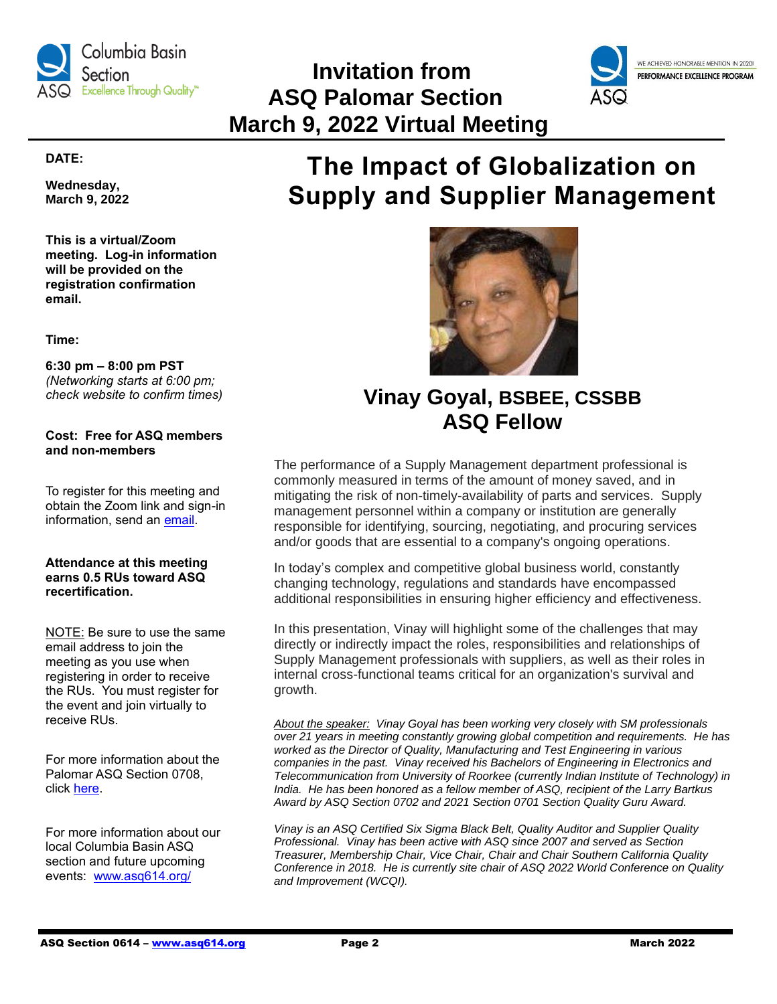

# **Invitation from ASQ Palomar Section March 9, 2022 Virtual Meeting**



#### **DATE:**

**Wednesday, March 9, 2022**

**This is a virtual/Zoom meeting. Log-in information will be provided on the registration confirmation email.**

**Time:**

#### **6:30 pm – 8:00 pm PST** *(Networking starts at 6:00 pm; check website to confirm times)*

**Cost: Free for ASQ members and non-members**

To register for this meeting and obtain the Zoom link and sign-in information, send an [email.](mailto:secretary@asqpalomar.org)

#### **Attendance at this meeting earns 0.5 RUs toward ASQ recertification.**

NOTE: Be sure to use the same email address to join the meeting as you use when registering in order to receive the RUs. You must register for the event and join virtually to receive RUs.

For more information about the Palomar ASQ Section 0708, click [here.](https://my.asq.org/communities/home/347)

For more information about our local Columbia Basin ASQ section and future upcoming events: [www.asq614.org/](http://www.asq614.org/)

# **The Impact of Globalization on Supply and Supplier Management**



# **Vinay Goyal, BSBEE, CSSBB ASQ Fellow**

The performance of a Supply Management department professional is commonly measured in terms of the amount of money saved, and in mitigating the risk of non-timely-availability of parts and services. Supply management personnel within a company or institution are generally responsible for identifying, sourcing, negotiating, and procuring services and/or goods that are essential to a company's ongoing operations.

In today's complex and competitive global business world, constantly changing technology, regulations and standards have encompassed additional responsibilities in ensuring higher efficiency and effectiveness.

In this presentation, Vinay will highlight some of the challenges that may directly or indirectly impact the roles, responsibilities and relationships of Supply Management professionals with suppliers, as well as their roles in internal cross-functional teams critical for an organization's survival and growth.

*About the speaker: Vinay Goyal has been working very closely with SM professionals over 21 years in meeting constantly growing global competition and requirements. He has worked as the Director of Quality, Manufacturing and Test Engineering in various companies in the past. Vinay received his Bachelors of Engineering in Electronics and Telecommunication from University of Roorkee (currently Indian Institute of Technology) in India. He has been honored as a fellow member of ASQ, recipient of the Larry Bartkus Award by ASQ Section 0702 and 2021 Section 0701 Section Quality Guru Award.* 

*Vinay is an ASQ Certified Six Sigma Black Belt, Quality Auditor and Supplier Quality Professional. Vinay has been active with ASQ since 2007 and served as Section Treasurer, Membership Chair, Vice Chair, Chair and Chair Southern California Quality Conference in 2018. He is currently site chair of ASQ 2022 World Conference on Quality and Improvement (WCQI).*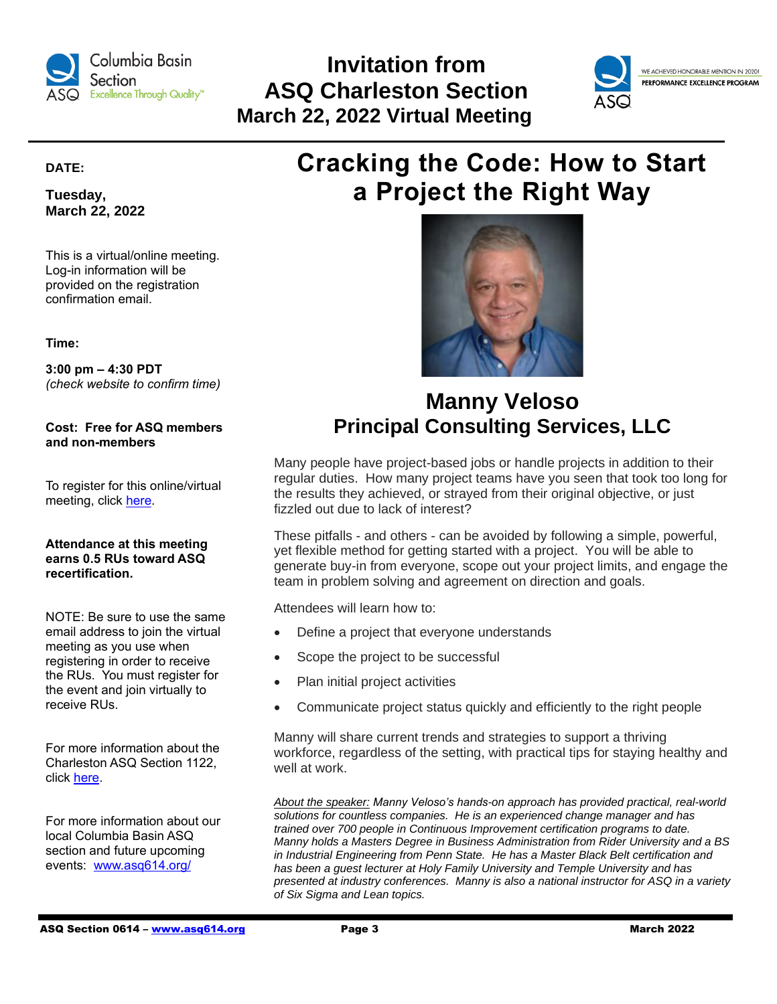

# **Invitation from ASQ Charleston Section March 22, 2022 Virtual Meeting**



#### **DATE:**

**Tuesday, March 22, 2022**

This is a virtual/online meeting. Log-in information will be provided on the registration confirmation email.

**Time:**

**3:00 pm – 4:30 PDT** *(check website to confirm time)*

**Cost: Free for ASQ members and non-members**

To register for this online/virtual meeting, click [here.](https://my.asq.org/communities/events/item/285/60/3883)

#### **Attendance at this meeting earns 0.5 RUs toward ASQ recertification.**

NOTE: Be sure to use the same email address to join the virtual meeting as you use when registering in order to receive the RUs. You must register for the event and join virtually to receive RUs.

For more information about the Charleston ASQ Section 1122, click [here.](https://my.asq.org/communities/home/285)

For more information about our local Columbia Basin ASQ section and future upcoming events: [www.asq614.org/](http://www.asq614.org/)

# **Cracking the Code: How to Start a Project the Right Way**



# **Manny Veloso Principal Consulting Services, LLC**

Many people have project-based jobs or handle projects in addition to their regular duties. How many project teams have you seen that took too long for the results they achieved, or strayed from their original objective, or just fizzled out due to lack of interest?

These pitfalls - and others - can be avoided by following a simple, powerful, yet flexible method for getting started with a project. You will be able to generate buy-in from everyone, scope out your project limits, and engage the team in problem solving and agreement on direction and goals.

Attendees will learn how to:

- Define a project that everyone understands
- Scope the project to be successful
- Plan initial project activities
- Communicate project status quickly and efficiently to the right people

Manny will share current trends and strategies to support a thriving workforce, regardless of the setting, with practical tips for staying healthy and well at work.

*About the speaker: Manny Veloso's hands-on approach has provided practical, real-world solutions for countless companies. He is an experienced change manager and has trained over 700 people in Continuous Improvement certification programs to date. Manny holds a Masters Degree in Business Administration from Rider University and a BS in Industrial Engineering from Penn State. He has a Master Black Belt certification and has been a guest lecturer at Holy Family University and Temple University and has presented at industry conferences. Manny is also a national instructor for ASQ in a variety of Six Sigma and Lean topics.*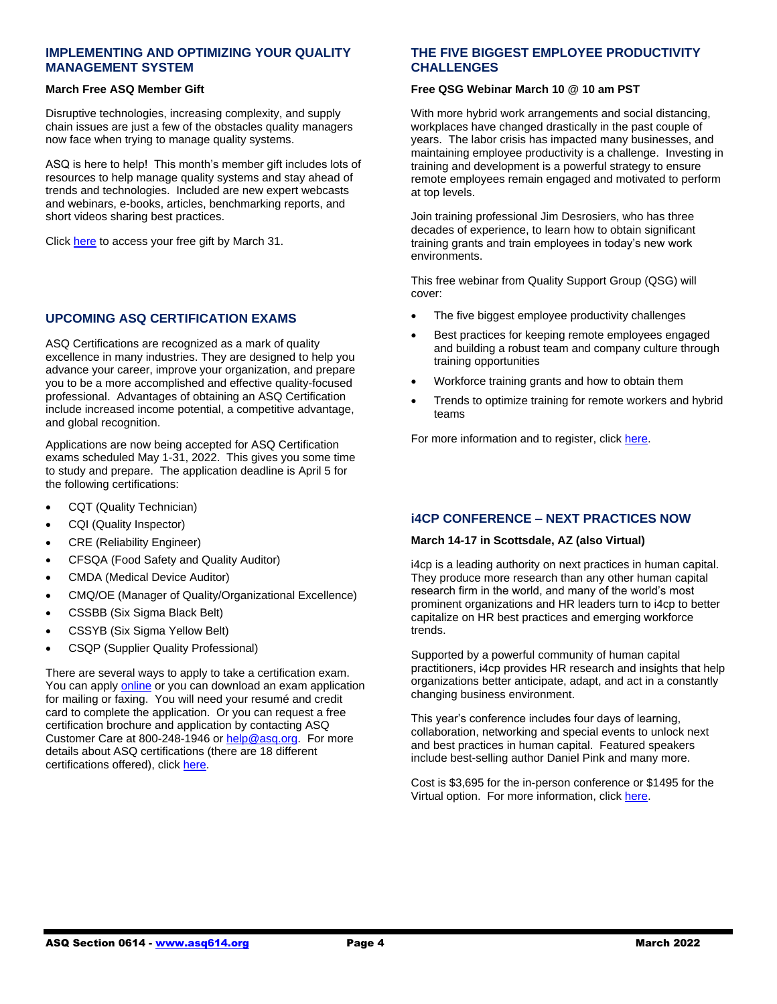#### **IMPLEMENTING AND OPTIMIZING YOUR QUALITY MANAGEMENT SYSTEM**

#### **March Free ASQ Member Gift**

Disruptive technologies, increasing complexity, and supply chain issues are just a few of the obstacles quality managers now face when trying to manage quality systems.

ASQ is here to help! This month's member gift includes lots of resources to help manage quality systems and stay ahead of trends and technologies. Included are new expert webcasts and webinars, e-books, articles, benchmarking reports, and short videos sharing best practices.

Click [here](https://asq.org/membership/member-gift/march-2022) to access your free gift by March 31.

#### **UPCOMING ASQ CERTIFICATION EXAMS**

ASQ Certifications are recognized as a mark of quality excellence in many industries. They are designed to help you advance your career, improve your organization, and prepare you to be a more accomplished and effective quality-focused professional. Advantages of obtaining an ASQ Certification include increased income potential, a competitive advantage, and global recognition.

Applications are now being accepted for ASQ Certification exams scheduled May 1-31, 2022. This gives you some time to study and prepare. The application deadline is April 5 for the following certifications:

- CQT (Quality Technician)
- CQI (Quality Inspector)
- CRE (Reliability Engineer)
- CFSQA (Food Safety and Quality Auditor)
- CMDA (Medical Device Auditor)
- CMQ/OE (Manager of Quality/Organizational Excellence)
- CSSBB (Six Sigma Black Belt)
- CSSYB (Six Sigma Yellow Belt)
- CSQP (Supplier Quality Professional)

There are several ways to apply to take a certification exam. You can apply [online](https://asq.org/cert/certifications) or you can download an exam application for mailing or faxing. You will need your resumé and credit card to complete the application. Or you can request a free certification brochure and application by contacting ASQ Customer Care at 800-248-1946 or [help@asq.org.](mailto:help@asq.org) For more details about ASQ certifications (there are 18 different certifications offered), clic[k here.](https://asq.org/cert)

#### **THE FIVE BIGGEST EMPLOYEE PRODUCTIVITY CHALLENGES**

#### **Free QSG Webinar March 10 @ 10 am PST**

With more hybrid work arrangements and social distancing, workplaces have changed drastically in the past couple of years. The labor crisis has impacted many businesses, and maintaining employee productivity is a challenge. Investing in training and development is a powerful strategy to ensure remote employees remain engaged and motivated to perform at top levels.

Join training professional Jim Desrosiers, who has three decades of experience, to learn how to obtain significant training grants and train employees in today's new work environments.

This free webinar from Quality Support Group (QSG) will cover:

- The five biggest employee productivity challenges
- Best practices for keeping remote employees engaged and building a robust team and company culture through training opportunities
- Workforce training grants and how to obtain them
- Trends to optimize training for remote workers and hybrid teams

For more information and to register, clic[k here.](https://us06web.zoom.us/webinar/register/WN_SlnoPthoTNOtlKYRyNXLPA)

### **i4CP CONFERENCE – NEXT PRACTICES NOW**

#### **March 14-17 in Scottsdale, AZ (also Virtual)**

i4cp is a leading authority on next practices in human capital. They produce more research than any other human capital research firm in the world, and many of the world's most prominent organizations and HR leaders turn to i4cp to better capitalize on HR best practices and emerging workforce trends.

Supported by a powerful community of human capital practitioners, i4cp provides HR research and insights that help organizations better anticipate, adapt, and act in a constantly changing business environment.

This year's conference includes four days of learning, collaboration, networking and special events to unlock next and best practices in human capital. Featured speakers include best-selling author Daniel Pink and many more.

Cost is \$3,695 for the in-person conference or \$1495 for the Virtual option. For more information, clic[k here.](https://www.i4cp.com/conference/attendees)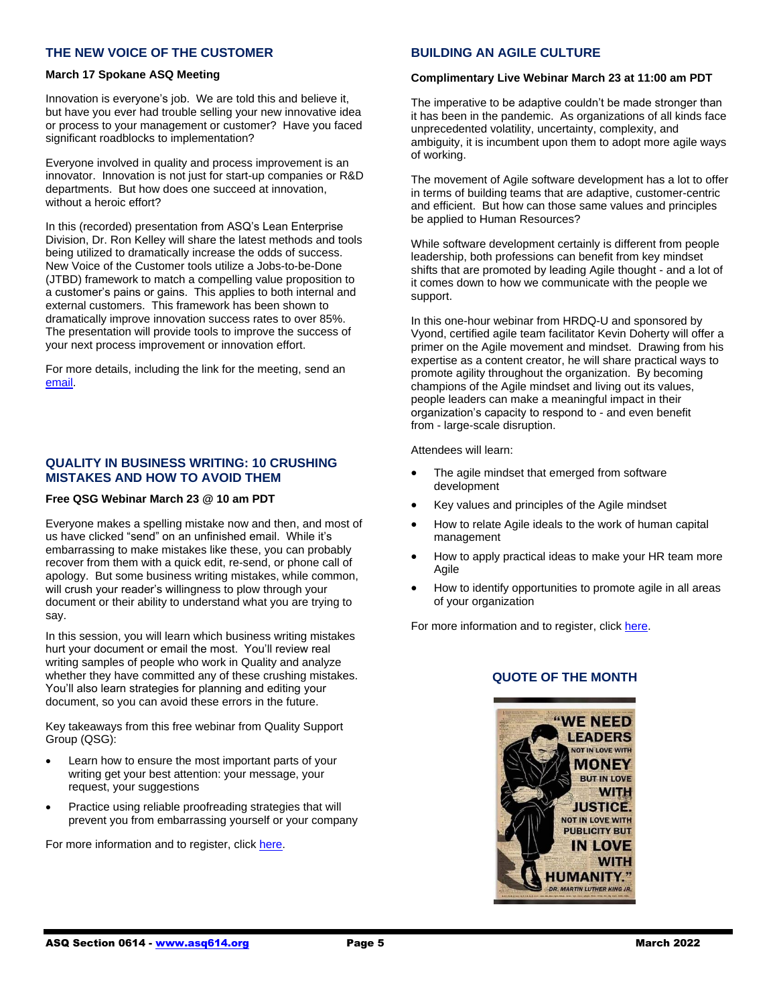#### **THE NEW VOICE OF THE CUSTOMER**

#### **March 17 Spokane ASQ Meeting**

Innovation is everyone's job. We are told this and believe it, but have you ever had trouble selling your new innovative idea or process to your management or customer? Have you faced significant roadblocks to implementation?

Everyone involved in quality and process improvement is an innovator. Innovation is not just for start-up companies or R&D departments. But how does one succeed at innovation, without a heroic effort?

In this (recorded) presentation from ASQ's Lean Enterprise Division, Dr. Ron Kelley will share the latest methods and tools being utilized to dramatically increase the odds of success. New Voice of the Customer tools utilize a Jobs-to-be-Done (JTBD) framework to match a compelling value proposition to a customer's pains or gains. This applies to both internal and external customers. This framework has been shown to dramatically improve innovation success rates to over 85%. The presentation will provide tools to improve the success of your next process improvement or innovation effort.

For more details, including the link for the meeting, send an [email.](mailto:macandwife79@gmail.com)

#### **QUALITY IN BUSINESS WRITING: 10 CRUSHING MISTAKES AND HOW TO AVOID THEM**

#### **Free QSG Webinar March 23 @ 10 am PDT**

Everyone makes a spelling mistake now and then, and most of us have clicked "send" on an unfinished email. While it's embarrassing to make mistakes like these, you can probably recover from them with a quick edit, re-send, or phone call of apology. But some business writing mistakes, while common, will crush your reader's willingness to plow through your document or their ability to understand what you are trying to say.

In this session, you will learn which business writing mistakes hurt your document or email the most. You'll review real writing samples of people who work in Quality and analyze whether they have committed any of these crushing mistakes. You'll also learn strategies for planning and editing your document, so you can avoid these errors in the future.

Key takeaways from this free webinar from Quality Support Group (QSG):

- Learn how to ensure the most important parts of your writing get your best attention: your message, your request, your suggestions
- Practice using reliable proofreading strategies that will prevent you from embarrassing yourself or your company

For more information and to register, clic[k here.](https://us06web.zoom.us/webinar/register/WN_XOSeaknvQ-2n6iMJUR1M5g)

#### **BUILDING AN AGILE CULTURE**

#### **Complimentary Live Webinar March 23 at 11:00 am PDT**

The imperative to be adaptive couldn't be made stronger than it has been in the pandemic. As organizations of all kinds face unprecedented volatility, uncertainty, complexity, and ambiguity, it is incumbent upon them to adopt more agile ways of working.

The movement of Agile software development has a lot to offer in terms of building teams that are adaptive, customer-centric and efficient. But how can those same values and principles be applied to Human Resources?

While software development certainly is different from people leadership, both professions can benefit from key mindset shifts that are promoted by leading Agile thought - and a lot of it comes down to how we communicate with the people we support.

In this one-hour webinar from HRDQ-U and sponsored by Vyond, certified agile team facilitator Kevin Doherty will offer a primer on the Agile movement and mindset. Drawing from his expertise as a content creator, he will share practical ways to promote agility throughout the organization. By becoming champions of the Agile mindset and living out its values, people leaders can make a meaningful impact in their organization's capacity to respond to - and even benefit from - large-scale disruption.

Attendees will learn:

- The agile mindset that emerged from software development
- Key values and principles of the Agile mindset
- How to relate Agile ideals to the work of human capital management
- How to apply practical ideas to make your HR team more Agile
- How to identify opportunities to promote agile in all areas of your organization

For more information and to register, clic[k here.](https://hrdqu.com/building-an-agile-culture-webinar/?utm_source=sendinblue&utm_campaign=HRDQU%20Webinar%20Invite%202022-03-23%2045&utm_medium=email)

# "WE NEED **I FADERS OT IN LOVE WITH MONEY BUT IN LOVE WITH JUSTICE. NOT IN LOVE WITH PUBLICITY BUT IN LOVE UMANITY.**

**DR. MARTIN LUTHER KING JF** 

### **QUOTE OF THE MONTH**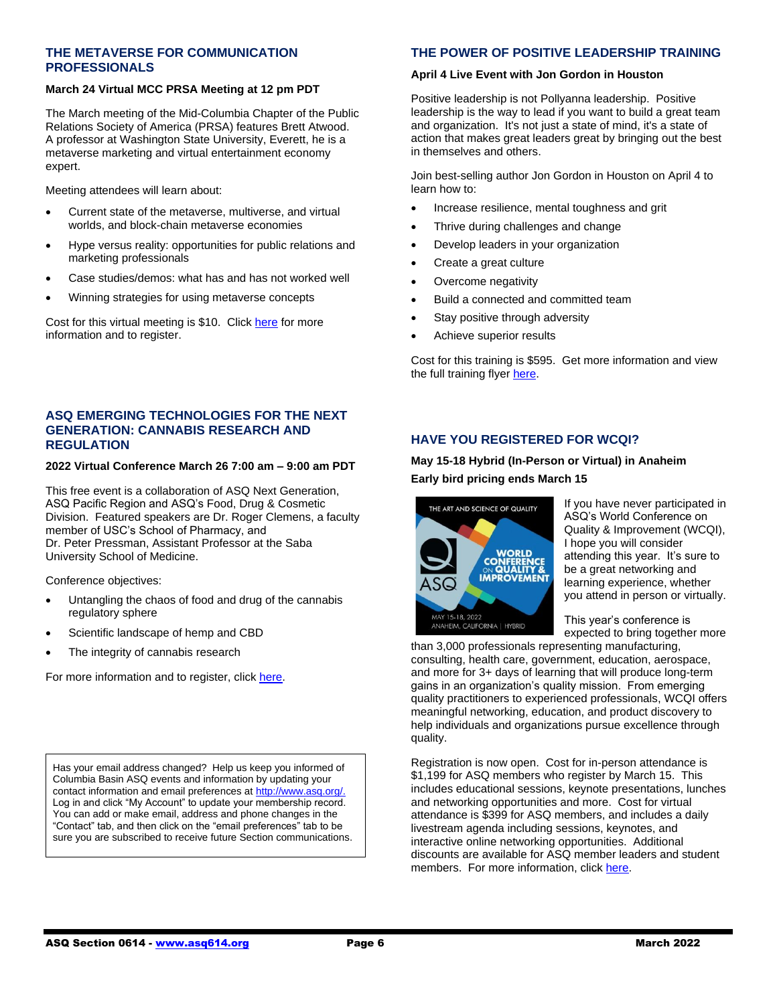#### **THE METAVERSE FOR COMMUNICATION PROFESSIONALS**

#### **March 24 Virtual MCC PRSA Meeting at 12 pm PDT**

The March meeting of the Mid-Columbia Chapter of the Public Relations Society of America (PRSA) features Brett Atwood. A professor at Washington State University, Everett, he is a metaverse marketing and virtual entertainment economy expert.

Meeting attendees will learn about:

- Current state of the metaverse, multiverse, and virtual worlds, and block-chain metaverse economies
- Hype versus reality: opportunities for public relations and marketing professionals
- Case studies/demos: what has and has not worked well
- Winning strategies for using metaverse concepts

Cost for this virtual meeting is \$10. Click [here](https://www.eventbrite.com/e/the-metaverse-for-communication-professionals-tickets-254870774347?aff=Email) for more information and to register.

#### **ASQ EMERGING TECHNOLOGIES FOR THE NEXT GENERATION: CANNABIS RESEARCH AND REGULATION**

#### **2022 Virtual Conference March 26 7:00 am – 9:00 am PDT**

This free event is a collaboration of ASQ Next Generation, ASQ Pacific Region and ASQ's Food, Drug & Cosmetic Division. Featured speakers are Dr. Roger Clemens, a faculty member of USC's School of Pharmacy, and Dr. Peter Pressman, Assistant Professor at the Saba University School of Medicine.

Conference objectives:

- Untangling the chaos of food and drug of the cannabis regulatory sphere
- Scientific landscape of hemp and CBD
- The integrity of cannabis research

For more information and to register, clic[k here.](https://www.eventbrite.com/e/asq-prqc-emerging-technologies-for-the-next-generation-march-2022-tickets-270467434377?aff=ebdsoporgprofile)

Has your email address changed? Help us keep you informed of Columbia Basin ASQ events and information by updating your contact information and email preferences at http://www.asq.org/ Log in and click "My Account" to update your membership record. You can add or make email, address and phone changes in the "Contact" tab, and then click on the "email preferences" tab to be sure you are subscribed to receive future Section communications.

## **THE POWER OF POSITIVE LEADERSHIP TRAINING**

#### **April 4 Live Event with Jon Gordon in Houston**

Positive leadership is not Pollyanna leadership. Positive leadership is the way to lead if you want to build a great team and organization. It's not just a state of mind, it's a state of action that makes great leaders great by bringing out the best in themselves and others.

Join best-selling author Jon Gordon in Houston on April 4 to learn how to:

- Increase resilience, mental toughness and grit
- Thrive during challenges and change
- Develop leaders in your organization
- Create a great culture
- Overcome negativity
- Build a connected and committed team
- Stay positive through adversity
- Achieve superior results

Cost for this training is \$595. Get more information and view the full training flye[r here.](http://www.popltraining.com/wp-content/uploads/2021/05/POPL-Workshop-Flyer-Webres-P4.pdf)

### **HAVE YOU REGISTERED FOR WCQI?**

### **May 15-18 Hybrid (In-Person or Virtual) in Anaheim Early bird pricing ends March 15**



If you have never participated in ASQ's World Conference on Quality & Improvement (WCQI), I hope you will consider attending this year. It's sure to be a great networking and learning experience, whether you attend in person or virtually.

This year's conference is expected to bring together more

than 3,000 professionals representing manufacturing, consulting, health care, government, education, aerospace, and more for 3+ days of learning that will produce long-term gains in an organization's quality mission. From emerging quality practitioners to experienced professionals, WCQI offers meaningful networking, education, and product discovery to help individuals and organizations pursue excellence through quality.

Registration is now open. Cost for in-person attendance is \$1,199 for ASQ members who register by March 15. This includes educational sessions, keynote presentations, lunches and networking opportunities and more. Cost for virtual attendance is \$399 for ASQ members, and includes a daily livestream agenda including sessions, keynotes, and interactive online networking opportunities. Additional discounts are available for ASQ member leaders and student members. For more information, clic[k here.](https://asq.org/conferences/wcqi)